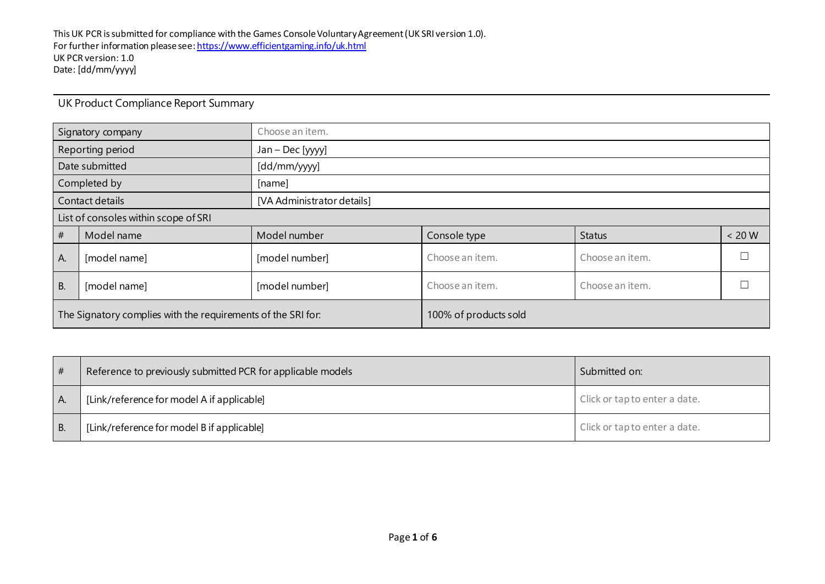| Signatory company                                            |                  | Choose an item.            |                 |                 |          |  |  |
|--------------------------------------------------------------|------------------|----------------------------|-----------------|-----------------|----------|--|--|
|                                                              | Reporting period | Jan - Dec [yyyy]           |                 |                 |          |  |  |
|                                                              | Date submitted   | [dd/mm/yyyy]               |                 |                 |          |  |  |
| Completed by                                                 |                  | [name]                     |                 |                 |          |  |  |
| Contact details                                              |                  | [VA Administrator details] |                 |                 |          |  |  |
| List of consoles within scope of SRI                         |                  |                            |                 |                 |          |  |  |
| #                                                            | Model name       | Model number               | Console type    | <b>Status</b>   | $< 20 W$ |  |  |
| A.                                                           | [model name]     | [model number]             | Choose an item. | Choose an item. |          |  |  |
| <b>B.</b><br>[model name]                                    |                  | [model number]             | Choose an item. | Choose an item. |          |  |  |
| The Signatory complies with the requirements of the SRI for: |                  | 100% of products sold      |                 |                 |          |  |  |

UK Product Compliance Report Summary

| # | Reference to previously submitted PCR for applicable models | Submitted on:                 |
|---|-------------------------------------------------------------|-------------------------------|
|   | [Link/reference for model A if applicable]                  | Click or tap to enter a date. |
|   | [Link/reference for model B if applicable]                  | Click or tap to enter a date. |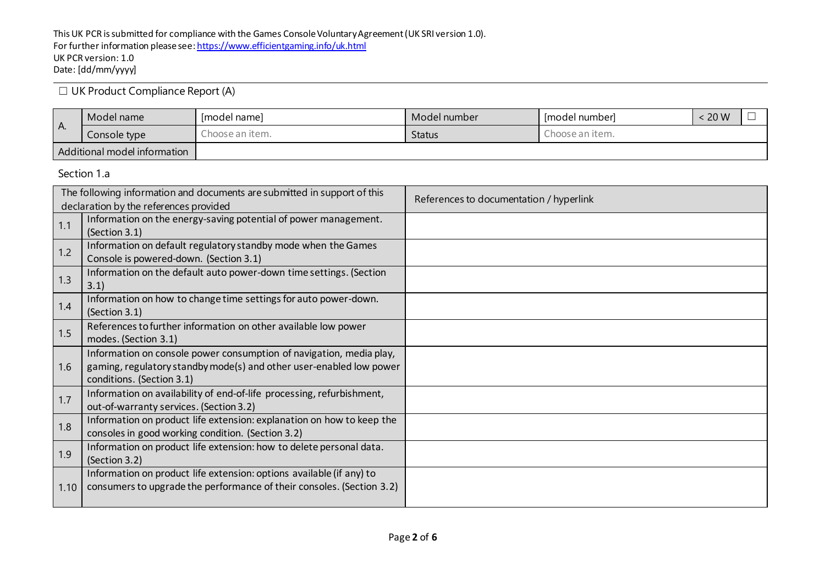☐ UK Product Compliance Report (A)

| I A. | Model name                   | Imodel namel    | Model number  | l Imodel numberl | 20 W |  |
|------|------------------------------|-----------------|---------------|------------------|------|--|
|      | Console type                 | Thoose an item. | <b>Status</b> | Choose an item.  |      |  |
|      | Additional model information |                 |               |                  |      |  |

Section 1.a

|      | The following information and documents are submitted in support of this                                                                                                | References to documentation / hyperlink |
|------|-------------------------------------------------------------------------------------------------------------------------------------------------------------------------|-----------------------------------------|
|      | declaration by the references provided<br>Information on the energy-saving potential of power management.                                                               |                                         |
| 1.1  | (Section 3.1)                                                                                                                                                           |                                         |
| 1.2  | Information on default regulatory standby mode when the Games<br>Console is powered-down. (Section 3.1)                                                                 |                                         |
| 1.3  | Information on the default auto power-down time settings. (Section<br>3.1)                                                                                              |                                         |
| 1.4  | Information on how to change time settings for auto power-down.<br>(Section 3.1)                                                                                        |                                         |
| 1.5  | References to further information on other available low power<br>modes. (Section 3.1)                                                                                  |                                         |
| 1.6  | Information on console power consumption of navigation, media play,<br>gaming, regulatory standby mode(s) and other user-enabled low power<br>conditions. (Section 3.1) |                                         |
| 1.7  | Information on availability of end-of-life processing, refurbishment,<br>out-of-warranty services. (Section 3.2)                                                        |                                         |
| 1.8  | Information on product life extension: explanation on how to keep the<br>consoles in good working condition. (Section 3.2)                                              |                                         |
| 1.9  | Information on product life extension: how to delete personal data.<br>(Section 3.2)                                                                                    |                                         |
| 1.10 | Information on product life extension: options available (if any) to<br>consumers to upgrade the performance of their consoles. (Section 3.2)                           |                                         |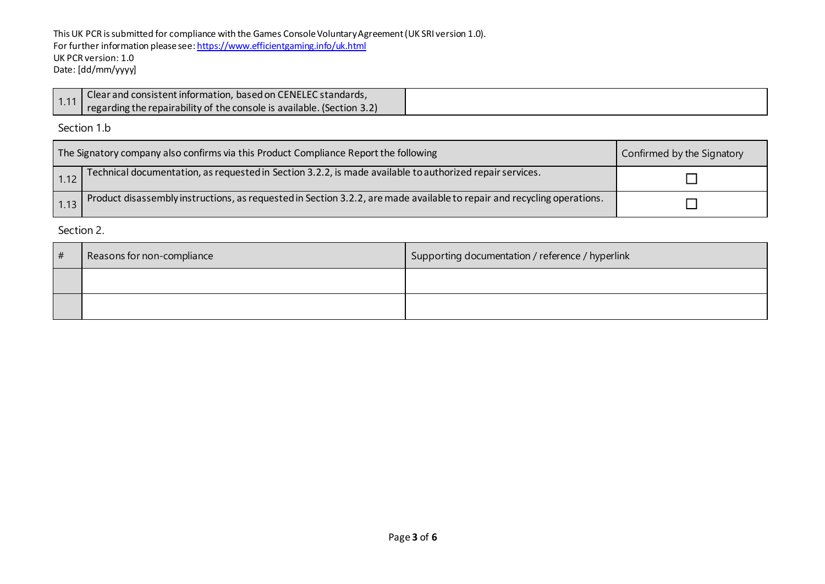This UK PCR is submitted for compliance with the Games Console Voluntary Agreement (UK SRI version 1.0). For further information please se[e: https://www.efficientgaming.info/uk.html](https://www.efficientgaming.info/uk.html) UK PCR version: 1.0 Date: [dd/mm/yyyy]

| Clear and consistent information, based on CENELEC standards,          |
|------------------------------------------------------------------------|
| regarding the repairability of the console is available. (Section 3.2) |

Section 1.b

| The Signatory company also confirms via this Product Compliance Report the following |                                                                                                                         | Confirmed by the Signatory |
|--------------------------------------------------------------------------------------|-------------------------------------------------------------------------------------------------------------------------|----------------------------|
| 1.12                                                                                 | Technical documentation, as requested in Section 3.2.2, is made available to authorized repair services.                |                            |
|                                                                                      | Product disassembly instructions, as requested in Section 3.2.2, are made available to repair and recycling operations. |                            |

Section 2.

| # | Reasons for non-compliance | Supporting documentation / reference / hyperlink |
|---|----------------------------|--------------------------------------------------|
|   |                            |                                                  |
|   |                            |                                                  |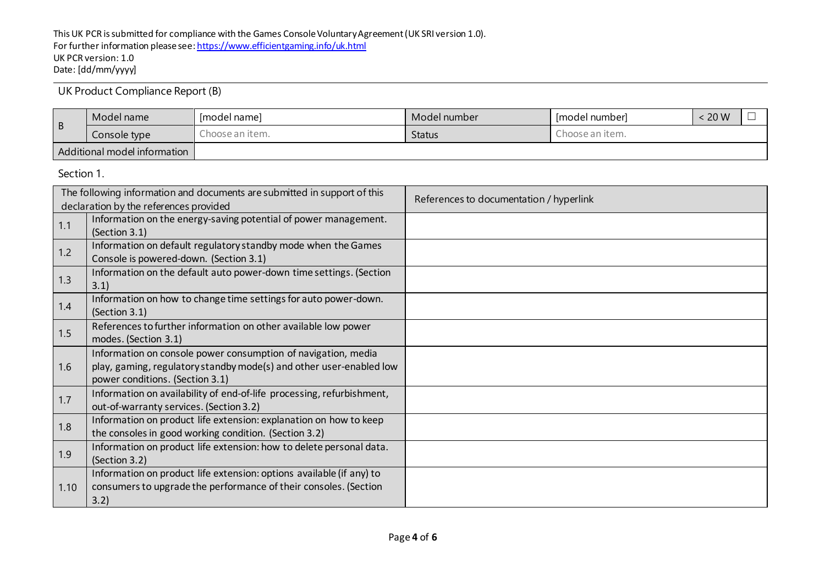UK Product Compliance Report (B)

| l B                          | Model name   | [model name]    | Model number  | Imodel numberl  | 20 W |  |
|------------------------------|--------------|-----------------|---------------|-----------------|------|--|
|                              | Console type | Ihoose an item. | <b>Status</b> | Ihoose an item. |      |  |
| Additional model information |              |                 |               |                 |      |  |

Section 1.

| The following information and documents are submitted in support of this |                                                                       | References to documentation / hyperlink |
|--------------------------------------------------------------------------|-----------------------------------------------------------------------|-----------------------------------------|
|                                                                          | declaration by the references provided                                |                                         |
| 1.1                                                                      | Information on the energy-saving potential of power management.       |                                         |
|                                                                          | (Section 3.1)                                                         |                                         |
| 1.2                                                                      | Information on default regulatory standby mode when the Games         |                                         |
|                                                                          | Console is powered-down. (Section 3.1)                                |                                         |
|                                                                          | Information on the default auto power-down time settings. (Section    |                                         |
| 1.3                                                                      | 3.1)                                                                  |                                         |
|                                                                          | Information on how to change time settings for auto power-down.       |                                         |
| 1.4                                                                      | (Section 3.1)                                                         |                                         |
| 1.5                                                                      | References to further information on other available low power        |                                         |
|                                                                          | modes. (Section 3.1)                                                  |                                         |
|                                                                          | Information on console power consumption of navigation, media         |                                         |
| 1.6                                                                      | play, gaming, regulatory standby mode(s) and other user-enabled low   |                                         |
|                                                                          | power conditions. (Section 3.1)                                       |                                         |
|                                                                          | Information on availability of end-of-life processing, refurbishment, |                                         |
| 1.7                                                                      | out-of-warranty services. (Section 3.2)                               |                                         |
|                                                                          | Information on product life extension: explanation on how to keep     |                                         |
| 1.8                                                                      | the consoles in good working condition. (Section 3.2)                 |                                         |
|                                                                          | Information on product life extension: how to delete personal data.   |                                         |
| 1.9                                                                      | (Section 3.2)                                                         |                                         |
|                                                                          | Information on product life extension: options available (if any) to  |                                         |
| 1.10                                                                     | consumers to upgrade the performance of their consoles. (Section      |                                         |
|                                                                          | 3.2)                                                                  |                                         |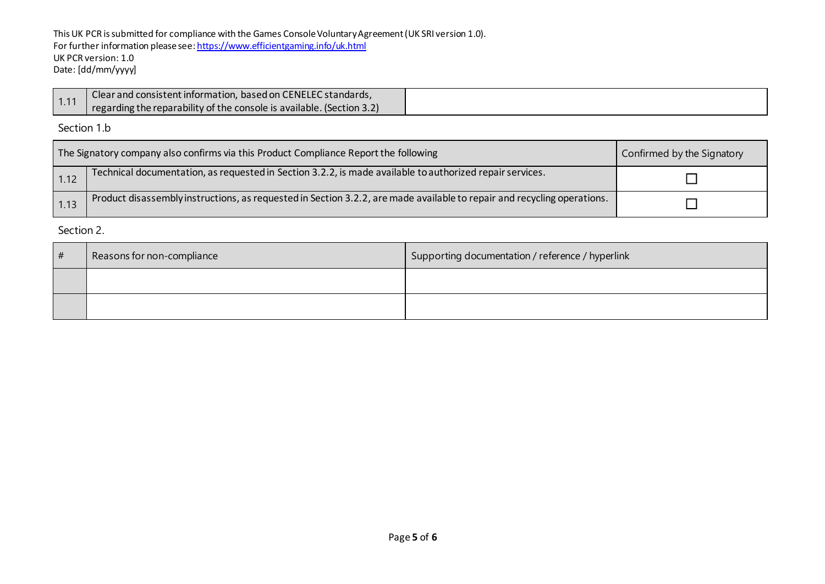This UK PCR is submitted for compliance with the Games Console Voluntary Agreement (UK SRI version 1.0). For further information please se[e: https://www.efficientgaming.info/uk.html](https://www.efficientgaming.info/uk.html) UK PCR version: 1.0 Date: [dd/mm/yyyy]

|      | 1 Clear and consistent information, based on CENELEC standards,       |
|------|-----------------------------------------------------------------------|
| 1.11 | regarding the reparability of the console is available. (Section 3.2) |

Section 1.b

| The Signatory company also confirms via this Product Compliance Report the following |                                                                                                                         | Confirmed by the Signatory |
|--------------------------------------------------------------------------------------|-------------------------------------------------------------------------------------------------------------------------|----------------------------|
| 1.12                                                                                 | Technical documentation, as requested in Section 3.2.2, is made available to authorized repair services.                |                            |
| 1.13                                                                                 | Product disassembly instructions, as requested in Section 3.2.2, are made available to repair and recycling operations. |                            |

Section 2.

| # | Reasons for non-compliance | Supporting documentation / reference / hyperlink |
|---|----------------------------|--------------------------------------------------|
|   |                            |                                                  |
|   |                            |                                                  |